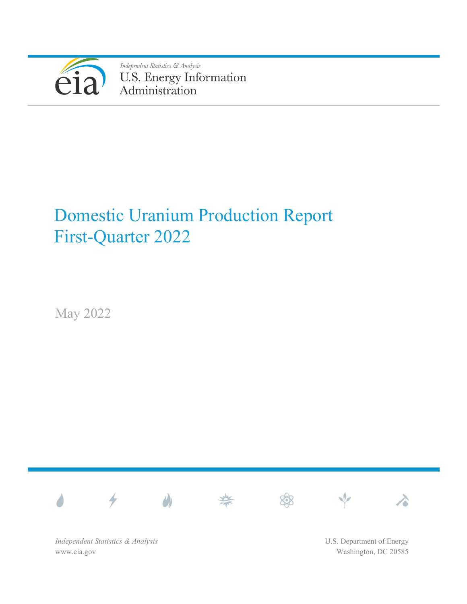

Independent Statistics & Analysis U.S. Energy Information<br>Administration

# Domestic Uranium Production Report First-Quarter 2022

May 2022



*Independent Statistics & Analysis* www.eia.gov

U.S. Department of Energy Washington, DC 20585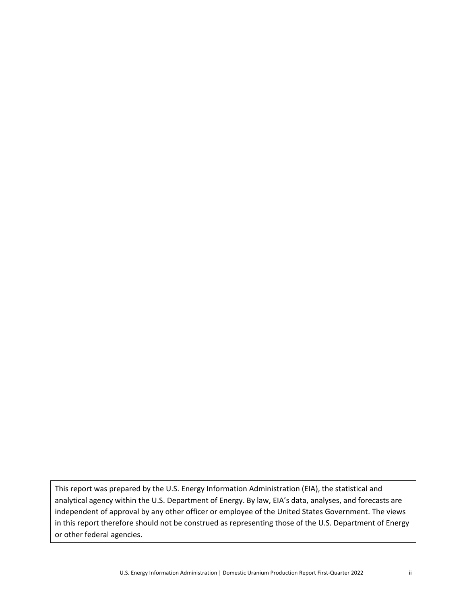This report was prepared by the U.S. Energy Information Administration (EIA), the statistical and analytical agency within the U.S. Department of Energy. By law, EIA's data, analyses, and forecasts are independent of approval by any other officer or employee of the United States Government. The views in this report therefore should not be construed as representing those of the U.S. Department of Energy or other federal agencies.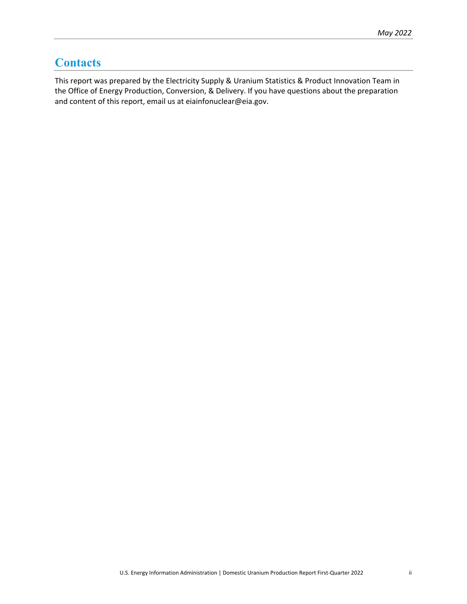## <span id="page-2-0"></span>**Contacts**

This report was prepared by the Electricity Supply & Uranium Statistics & Product Innovation Team in the Office of Energy Production, Conversion, & Delivery. If you have questions about the preparation and content of this report, email us at eiainfonuclear@eia.gov.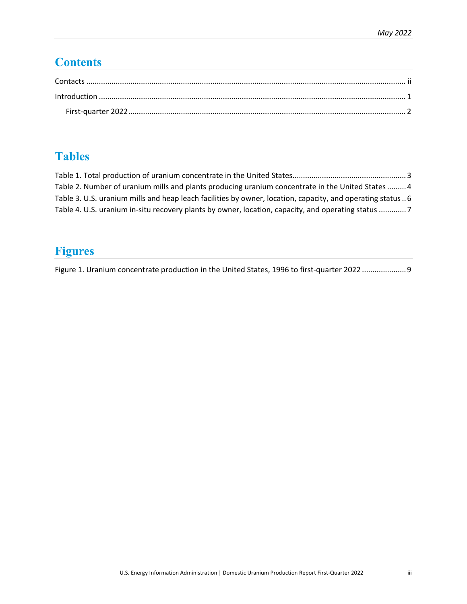# **Contents**

| $\label{eq:1} \mbox{Introduction} \,\, \ldots \,\, \ldots \,\, \ldots \,\, \ldots \,\, \ldots \,\, \ldots \,\, \ldots \,\, \ldots \,\, \ldots \,\, \ldots \,\, \ldots \,\, \ldots \,\, \ldots \,\, \ldots \,\, \ldots \,\, \ldots \,\, \ldots \,\, \ldots \,\, \ldots \,\, \ldots \,\, \ldots \,\, \ldots \,\, \ldots \,\, \ldots \,\, \ldots \,\, \ldots \,\, \ldots \,\, \ldots \,\, \ldots \,\, \ldots \,\, \ldots \,\, \ldots \,\, \ldots \,\, \ldots \,\,$ |  |
|-----------------------------------------------------------------------------------------------------------------------------------------------------------------------------------------------------------------------------------------------------------------------------------------------------------------------------------------------------------------------------------------------------------------------------------------------------------------|--|
|                                                                                                                                                                                                                                                                                                                                                                                                                                                                 |  |

# **Tables**

| Table 2. Number of uranium mills and plants producing uranium concentrate in the United States  4           |  |
|-------------------------------------------------------------------------------------------------------------|--|
| Table 3. U.S. uranium mills and heap leach facilities by owner, location, capacity, and operating status  6 |  |
| Table 4. U.S. uranium in-situ recovery plants by owner, location, capacity, and operating status 7          |  |

# **Figures**

[Figure 1. Uranium concentrate production in the United States, 1996 to first-quarter 2022](#page-12-0) ..................... 9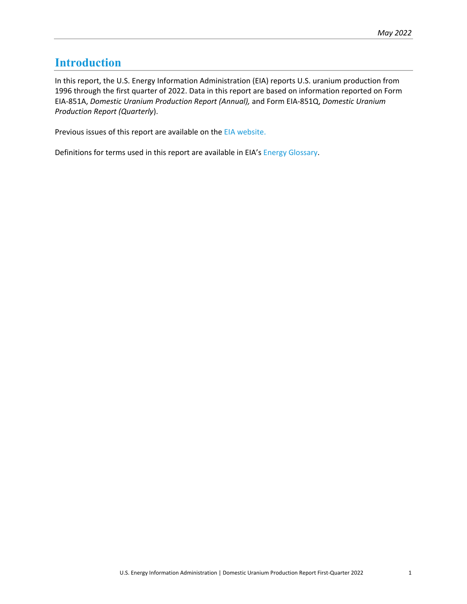### <span id="page-4-0"></span>**Introduction**

In this report, the U.S. Energy Information Administration (EIA) reports U.S. uranium production from 1996 through the first quarter of 2022. Data in this report are based on information reported on Form EIA-851A, *Domestic Uranium Production Report (Annual),* and Form EIA-851Q, *Domestic Uranium Production Report (Quarterly*).

Previous issues of this report are available on the [EIA website.](http://www.eia.gov/uranium/production/quarterly)

Definitions for terms used in this report are available in EIA's [Energy Glossary.](http://www.eia.gov/tools/glossary/)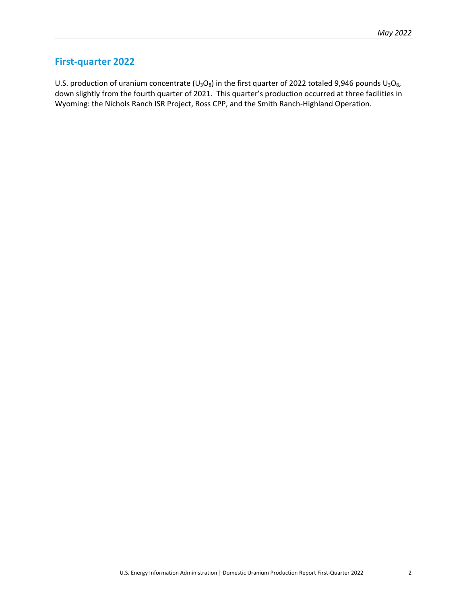### <span id="page-5-0"></span>**First-quarter 2022**

U.S. production of uranium concentrate ( $U_3O_8$ ) in the first quarter of 2022 totaled 9,946 pounds  $U_3O_8$ , down slightly from the fourth quarter of 2021. This quarter's production occurred at three facilities in Wyoming: the Nichols Ranch ISR Project, Ross CPP, and the Smith Ranch-Highland Operation.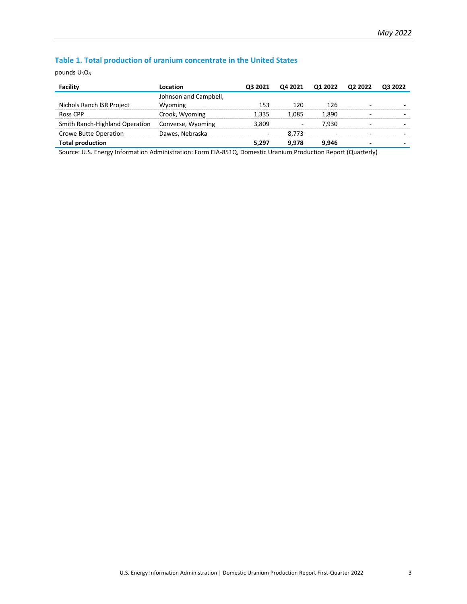### <span id="page-6-0"></span>**Table 1. Total production of uranium concentrate in the United States**

pounds  $U_3O_8$ 

| .ocation                                         |       |       |       | O3 2022                         |
|--------------------------------------------------|-------|-------|-------|---------------------------------|
| Johnson and Campbell,                            |       |       |       |                                 |
| Wyoming                                          | 153   | 120   | 126   |                                 |
| Crook, Wyoming                                   | 1.335 | 1.085 | 1.890 |                                 |
| Smith Ranch-Highland Operation Converse, Wyoming | 3.809 |       | 7.930 |                                 |
| Dawes, Nebraska                                  |       | 8.773 |       |                                 |
|                                                  | 5.297 | 9.978 | 9.946 |                                 |
|                                                  |       |       |       | Q3 2021 Q4 2021 Q1 2022 Q2 2022 |

Source: U.S. Energy Information Administration: Form EIA-851Q, Domestic Uranium Production Report (Quarterly)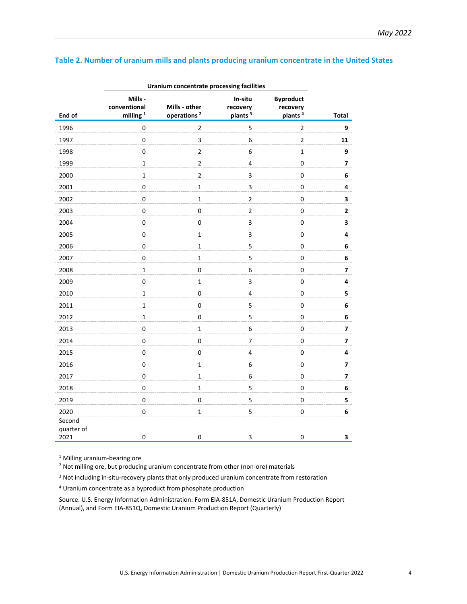### <span id="page-7-0"></span>**Table 2. Number of uranium mills and plants producing uranium concentrate in the United States**

|                              | Uranium concentrate processing facilities |                                          |                                            |                                                     |                         |
|------------------------------|-------------------------------------------|------------------------------------------|--------------------------------------------|-----------------------------------------------------|-------------------------|
| End of                       | Mills -<br>conventional<br>milling $1$    | Mills - other<br>operations <sup>2</sup> | In-situ<br>recovery<br>plants <sup>3</sup> | <b>Byproduct</b><br>recovery<br>plants <sup>4</sup> | <b>Total</b>            |
| 1996                         | $\pmb{0}$                                 | $\mathbf 2$                              | 5                                          | $\mathbf 2$                                         | 9                       |
| 1997                         | $\pmb{0}$                                 | $\overline{\mathbf{3}}$                  | $\boldsymbol{6}$                           | $\overline{2}$                                      | 11                      |
| 1998                         | $\pmb{0}$                                 | $\overline{2}$                           | 6                                          | $\mathbf 1$                                         | 9                       |
| 1999                         | $\mathbf 1$                               | $\overline{2}$                           | $\overline{\mathbf{4}}$                    | $\mathbf 0$                                         | $\overline{\mathbf{z}}$ |
| 2000                         | $\mathbf{1}$                              | $\overline{2}$                           | 3                                          | $\mathbf 0$                                         | 6                       |
| 2001                         | $\mathbf 0$                               | $\mathbf 1$                              | 3                                          | $\mathbf 0$                                         | $\pmb{4}$               |
| 2002                         | $\mathbf 0$                               | $\mathbf 1$                              | $\overline{2}$                             | $\pmb{0}$                                           | $\mathbf{3}$            |
| 2003                         | $\mathbf 0$                               | $\mathbf 0$                              | $\overline{2}$                             | $\pmb{0}$                                           | $\mathbf{2}$            |
| 2004                         | $\mathbf 0$                               | $\mathbf 0$                              | $\mathbf{3}$                               | $\mathbf 0$                                         | 3                       |
| 2005                         | $\pmb{0}$                                 | $\mathbf 1$                              | 3                                          | $\pmb{0}$                                           | 4                       |
| 2006                         | $\pmb{0}$                                 | $\mathbf 1$                              | 5                                          | $\mathbf 0$                                         | 6                       |
| 2007                         | $\pmb{0}$                                 | $\mathbf 1$                              | 5                                          | $\pmb{0}$                                           | 6                       |
| 2008                         | $\mathbf 1$                               | $\mathbf 0$                              | 6                                          | $\mathsf{O}\xspace$                                 | $\overline{\mathbf{z}}$ |
| 2009                         | $\mathbf 0$                               | $\mathbf 1$                              | $\mathbf{3}$                               | $\mathbf 0$                                         | 4                       |
| 2010                         | $\mathbf 1$                               | $\mathsf 0$                              | $\overline{\mathbf{4}}$                    | $\mathbf 0$                                         | 5                       |
| 2011                         | $\mathbf 1$                               | $\mathsf 0$                              | 5                                          | $\pmb{0}$                                           | $\bf 6$                 |
| 2012                         | $\mathbf 1$                               | $\pmb{0}$                                | 5                                          | $\mathbf 0$                                         | $\bf 6$                 |
| 2013                         | $\mathbf 0$                               | $\mathbf 1$                              | 6                                          | $\pmb{0}$                                           | $\overline{\mathbf{z}}$ |
| 2014                         | $\mathbf 0$                               | $\mathsf 0$                              | $\overline{7}$                             | $\mathbf 0$                                         | $\overline{\mathbf{z}}$ |
| 2015                         | $\pmb{0}$                                 | $\pmb{0}$                                | $\overline{4}$                             | $\pmb{0}$                                           | 4                       |
| 2016                         | $\pmb{0}$                                 | $\mathbf{1}$                             | 6                                          | $\mathbf 0$                                         | $\overline{\mathbf{z}}$ |
| 2017                         | $\pmb{0}$                                 | $\mathbf 1$                              | 6                                          | $\mathbf 0$                                         | 7                       |
| 2018                         | $\pmb{0}$                                 | $\mathbf 1$                              | 5                                          | $\mathbf 0$                                         | 6                       |
| 2019                         | $\pmb{0}$                                 | $\mathbf 0$                              | 5                                          | $\mathbf 0$                                         | 5                       |
| 2020                         | $\pmb{0}$                                 | $\mathbf 1$                              | 5                                          | 0                                                   | 6                       |
| Second<br>quarter of<br>2021 | 0                                         | $\pmb{0}$                                | 3                                          | $\pmb{0}$                                           | 3                       |

**Uranium concentrate processing facilities**

<sup>1</sup> Milling uranium-bearing ore

<sup>2</sup> Not milling ore, but producing uranium concentrate from other (non-ore) materials

<sup>3</sup> Not including in-situ-recovery plants that only produced uranium concentrate from restoration

<sup>4</sup> Uranium concentrate as a byproduct from phosphate production

Source: U.S. Energy Information Administration: Form EIA-851A, Domestic Uranium Production Report (Annual), and Form EIA-851Q, Domestic Uranium Production Report (Quarterly)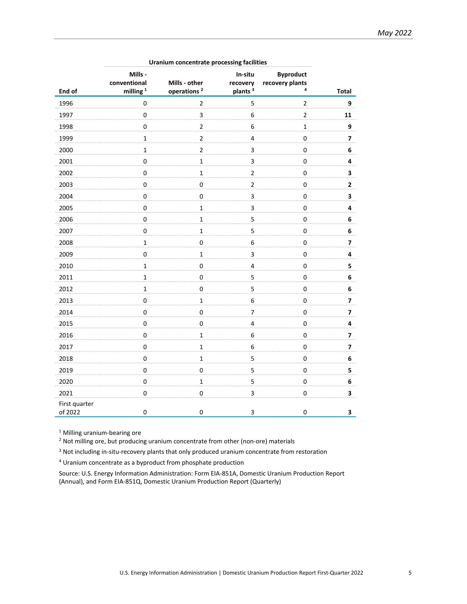|                          | Uranium concentrate processing facilities       |                                          |                                            |                                          |                         |  |  |  |
|--------------------------|-------------------------------------------------|------------------------------------------|--------------------------------------------|------------------------------------------|-------------------------|--|--|--|
| End of                   | Mills -<br>conventional<br>milling <sup>1</sup> | Mills - other<br>operations <sup>2</sup> | In-situ<br>recovery<br>plants <sup>3</sup> | <b>Byproduct</b><br>recovery plants<br>4 | <b>Total</b>            |  |  |  |
| 1996                     | $\pmb{0}$                                       | $\overline{2}$                           | 5                                          | $\mathbf 2$                              | 9                       |  |  |  |
| 1997                     | $\pmb{0}$                                       | 3                                        | 6                                          | $\overline{2}$                           | 11                      |  |  |  |
| 1998                     | $\mathsf 0$                                     | $\mathbf 2$                              | 6                                          | $\mathbf{1}$                             | 9                       |  |  |  |
| 1999                     | $\mathbf 1$                                     | $\overline{c}$                           | $\overline{4}$                             | 0                                        | 7                       |  |  |  |
| 2000                     | $\mathbf 1$                                     | $\mathbf 2$                              | 3                                          | $\mathbf 0$                              | 6                       |  |  |  |
| 2001                     | $\pmb{0}$                                       | $\mathbf 1$                              | 3                                          | $\mathbf 0$                              | 4                       |  |  |  |
| 2002                     | $\pmb{0}$                                       | $\mathbf{1}$                             | $\overline{2}$                             | 0                                        | 3                       |  |  |  |
| 2003                     | $\pmb{0}$                                       | $\pmb{0}$                                | $\overline{2}$                             | $\pmb{0}$                                | $\mathbf{2}$            |  |  |  |
| 2004                     | $\pmb{0}$                                       | $\pmb{0}$                                | 3                                          | $\pmb{0}$                                | 3                       |  |  |  |
| 2005                     | $\pmb{0}$                                       | $\mathbf 1$                              | 3                                          | $\pmb{0}$                                | 4                       |  |  |  |
| 2006                     | $\pmb{0}$                                       | $\mathbf 1$                              | 5                                          | $\pmb{0}$                                | 6                       |  |  |  |
| 2007                     | $\pmb{0}$                                       | $\mathbf{1}$                             | 5                                          | 0                                        | 6                       |  |  |  |
| 2008                     | $\mathbf 1$                                     | $\mathbf 0$                              | 6                                          | $\mathbf 0$                              | $\overline{\mathbf{z}}$ |  |  |  |
| 2009                     | $\pmb{0}$                                       | $\mathbf 1$                              | 3                                          | $\pmb{0}$                                | 4                       |  |  |  |
| 2010                     | $\mathbf 1$                                     | $\mathbf 0$                              | $\overline{\mathbf{4}}$                    | $\mathbf 0$                              | 5                       |  |  |  |
| 2011                     | $\mathbf 1$                                     | $\mathsf 0$                              | 5                                          | $\mathsf 0$                              | 6                       |  |  |  |
| 2012                     | $\mathbf 1$                                     | $\pmb{0}$                                | 5                                          | $\pmb{0}$                                | 6                       |  |  |  |
| 2013                     | $\mathsf 0$                                     | $\mathbf 1$                              | 6                                          | $\mathsf{O}\xspace$                      | $\overline{\mathbf{z}}$ |  |  |  |
| 2014                     | $\pmb{0}$                                       | $\pmb{0}$                                | $\overline{7}$                             | $\pmb{0}$                                | $\overline{\mathbf{z}}$ |  |  |  |
| 2015                     | $\pmb{0}$                                       | $\mathbf 0$                              | $\pmb{4}$                                  | $\mathbf 0$                              | 4                       |  |  |  |
| 2016                     | $\pmb{0}$                                       | $\mathbf 1$                              | 6                                          | $\pmb{0}$                                | 7                       |  |  |  |
| 2017                     | $\pmb{0}$                                       | $\mathbf 1$                              | 6                                          | 0                                        | $\overline{\mathbf{z}}$ |  |  |  |
| 2018                     | $\pmb{0}$                                       | $\mathbf 1$                              | 5                                          | $\pmb{0}$                                | 6                       |  |  |  |
| 2019                     | $\pmb{0}$                                       | $\mathbf 0$                              | 5                                          | 0                                        | 5                       |  |  |  |
| 2020                     | $\pmb{0}$                                       | $\mathbf 1$                              | 5                                          | $\pmb{0}$                                | 6                       |  |  |  |
| 2021                     | $\pmb{0}$                                       | $\mathbf 0$                              | 3                                          | $\pmb{0}$                                | 3                       |  |  |  |
| First quarter<br>of 2022 | 0                                               | $\pmb{0}$                                | 3                                          | 0                                        | 3                       |  |  |  |

**Uranium concentrate processing facilities**

<sup>1</sup> Milling uranium-bearing ore

<sup>2</sup> Not milling ore, but producing uranium concentrate from other (non-ore) materials

<sup>3</sup> Not including in-situ-recovery plants that only produced uranium concentrate from restoration

<sup>4</sup> Uranium concentrate as a byproduct from phosphate production

Source: U.S. Energy Information Administration: Form EIA-851A, Domestic Uranium Production Report (Annual), and Form EIA-851Q, Domestic Uranium Production Report (Quarterly)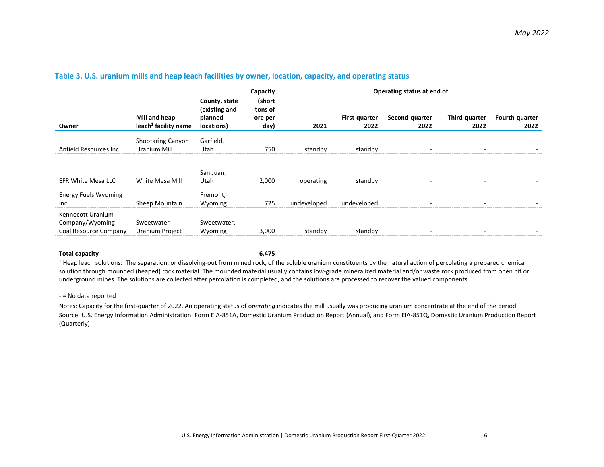|                                                               |                                                   |                                                         | Capacity                             | Operating status at end of |                       |                        |                       |                        |
|---------------------------------------------------------------|---------------------------------------------------|---------------------------------------------------------|--------------------------------------|----------------------------|-----------------------|------------------------|-----------------------|------------------------|
| Owner                                                         | Mill and heap<br>leach <sup>1</sup> facility name | County, state<br>(existing and<br>planned<br>locations) | (short<br>tons of<br>ore per<br>day) | 2021                       | First-guarter<br>2022 | Second-quarter<br>2022 | Third-quarter<br>2022 | Fourth-quarter<br>2022 |
| Anfield Resources Inc.                                        | <b>Shootaring Canyon</b><br>Uranium Mill          | Garfield,<br>Utah                                       | 750                                  | standby                    | standby               |                        |                       |                        |
| <b>EFR White Mesa LLC</b>                                     | White Mesa Mill                                   | San Juan,<br>Utah                                       | 2,000                                | operating                  | standby               |                        |                       |                        |
| <b>Energy Fuels Wyoming</b><br>Inc.                           | Sheep Mountain                                    | Fremont,<br>Wyoming                                     | 725                                  | undeveloped                | undeveloped           |                        |                       |                        |
| Kennecott Uranium<br>Company/Wyoming<br>Coal Resource Company | Sweetwater<br>Uranium Project                     | Sweetwater,<br>Wyoming                                  | 3,000                                | standby                    | standby               |                        |                       |                        |

#### **Table 3. U.S. uranium mills and heap leach facilities by owner, location, capacity, and operating status**

<span id="page-9-0"></span>**Total capacity 6,475**

<sup>1</sup> Heap leach solutions: The separation, or dissolving-out from mined rock, of the soluble uranium constituents by the natural action of percolating a prepared chemical solution through mounded (heaped) rock material. The mounded material usually contains low-grade mineralized material and/or waste rock produced from open pit or underground mines. The solutions are collected after percolation is completed, and the solutions are processed to recover the valued components.

#### - = No data reported

Notes: Capacity for the first-quarter of 2022. An operating status of o*perating* indicates the mill usually was producing uranium concentrate at the end of the period. Source: U.S. Energy Information Administration: Form EIA-851A, Domestic Uranium Production Report (Annual), and Form EIA-851Q, Domestic Uranium Production Report (Quarterly)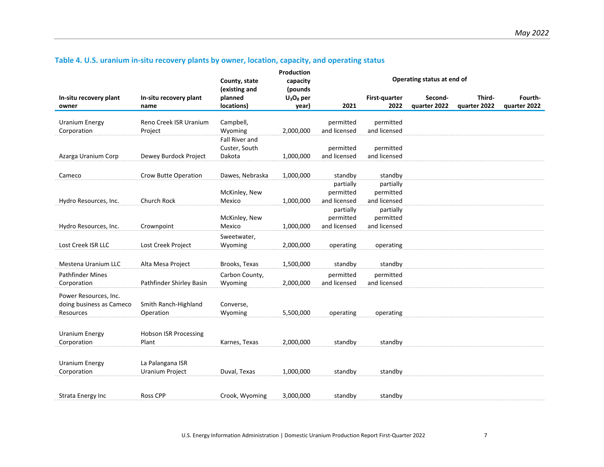| Table 4. U.S. uranium in-situ recovery plants by owner, location, capacity, and operating status |  |  |  |
|--------------------------------------------------------------------------------------------------|--|--|--|
|--------------------------------------------------------------------------------------------------|--|--|--|

<span id="page-10-0"></span>

|                          |                              |                                | Production           | Operating status at end of |               |              |              |              |
|--------------------------|------------------------------|--------------------------------|----------------------|----------------------------|---------------|--------------|--------------|--------------|
|                          |                              | County, state<br>(existing and | capacity<br>(pounds) |                            |               |              |              |              |
| In-situ recovery plant   | In-situ recovery plant       | planned                        | $U_3O_8$ per         |                            | First-quarter | Second-      | Third-       | Fourth-      |
| owner                    | name                         | locations)                     | year)                | 2021                       | 2022          | quarter 2022 | quarter 2022 | quarter 2022 |
|                          |                              |                                |                      |                            |               |              |              |              |
| <b>Uranium Energy</b>    | Reno Creek ISR Uranium       | Campbell,                      |                      | permitted                  | permitted     |              |              |              |
| Corporation              | Project                      | Wyoming                        | 2,000,000            | and licensed               | and licensed  |              |              |              |
|                          |                              | Fall River and                 |                      | permitted                  | permitted     |              |              |              |
| Azarga Uranium Corp      | Dewey Burdock Project        | Custer, South                  | 1,000,000            | and licensed               | and licensed  |              |              |              |
|                          |                              | Dakota                         |                      |                            |               |              |              |              |
| Cameco                   | <b>Crow Butte Operation</b>  | Dawes, Nebraska                | 1,000,000            | standby                    | standby       |              |              |              |
|                          |                              |                                |                      | partially                  | partially     |              |              |              |
|                          |                              | McKinley, New                  |                      | permitted                  | permitted     |              |              |              |
| Hydro Resources, Inc.    | <b>Church Rock</b>           | Mexico                         | 1,000,000            | and licensed               | and licensed  |              |              |              |
|                          |                              |                                |                      | partially                  | partially     |              |              |              |
|                          |                              | McKinley, New                  |                      | permitted                  | permitted     |              |              |              |
| Hydro Resources, Inc.    | Crownpoint                   | Mexico                         | 1,000,000            | and licensed               | and licensed  |              |              |              |
|                          |                              | Sweetwater,                    |                      |                            |               |              |              |              |
| Lost Creek ISR LLC       | Lost Creek Project           | Wyoming                        | 2,000,000            | operating                  | operating     |              |              |              |
|                          |                              |                                |                      |                            |               |              |              |              |
| Mestena Uranium LLC      | Alta Mesa Project            | Brooks, Texas                  | 1,500,000            | standby                    | standby       |              |              |              |
| <b>Pathfinder Mines</b>  |                              | Carbon County,                 |                      | permitted                  | permitted     |              |              |              |
| Corporation              | Pathfinder Shirley Basin     | Wyoming                        | 2,000,000            | and licensed               | and licensed  |              |              |              |
| Power Resources, Inc.    |                              |                                |                      |                            |               |              |              |              |
| doing business as Cameco | Smith Ranch-Highland         | Converse,                      |                      |                            |               |              |              |              |
| Resources                | Operation                    | Wyoming                        | 5,500,000            | operating                  | operating     |              |              |              |
|                          |                              |                                |                      |                            |               |              |              |              |
|                          |                              |                                |                      |                            |               |              |              |              |
| <b>Uranium Energy</b>    | <b>Hobson ISR Processing</b> |                                |                      |                            |               |              |              |              |
| Corporation              | Plant                        | Karnes, Texas                  | 2,000,000            | standby                    | standby       |              |              |              |
|                          |                              |                                |                      |                            |               |              |              |              |
| <b>Uranium Energy</b>    | La Palangana ISR             |                                |                      |                            |               |              |              |              |
| Corporation              | Uranium Project              | Duval, Texas                   | 1,000,000            | standby                    | standby       |              |              |              |
|                          |                              |                                |                      |                            |               |              |              |              |
| Strata Energy Inc        | <b>Ross CPP</b>              | Crook, Wyoming                 | 3,000,000            | standby                    | standby       |              |              |              |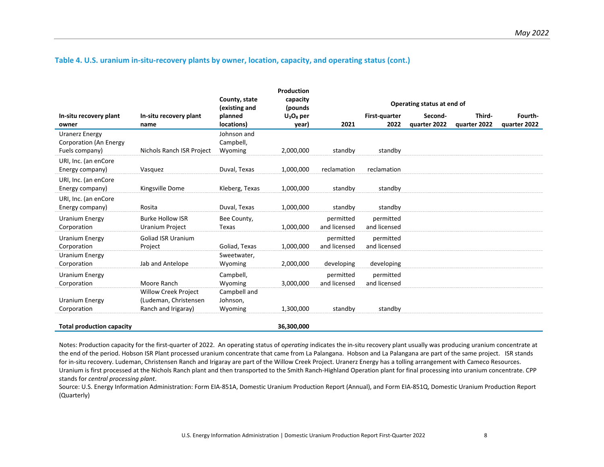### **Table 4. U.S. uranium in-situ-recovery plants by owner, location, capacity, and operating status (cont.)**

|                                                                   |                                                                             |                                     | Production            |                            |                           |                         |                        |                         |
|-------------------------------------------------------------------|-----------------------------------------------------------------------------|-------------------------------------|-----------------------|----------------------------|---------------------------|-------------------------|------------------------|-------------------------|
|                                                                   |                                                                             | County, state<br>(existing and      | capacity<br>(pounds)  | Operating status at end of |                           |                         |                        |                         |
| In-situ recovery plant<br>owner                                   | In-situ recovery plant<br>name                                              | planned<br>locations)               | $U_3O_8$ per<br>year) | 2021                       | First-quarter<br>2022     | Second-<br>quarter 2022 | Third-<br>quarter 2022 | Fourth-<br>quarter 2022 |
| <b>Uranerz Energy</b><br>Corporation (An Energy<br>Fuels company) | Nichols Ranch ISR Project                                                   | Johnson and<br>Campbell,<br>Wyoming | 2,000,000             | standby                    | standby                   |                         |                        |                         |
| URI, Inc. (an enCore<br>Energy company)                           | Vasquez                                                                     | Duval, Texas                        | 1,000,000             | reclamation                | reclamation               |                         |                        |                         |
| URI, Inc. (an enCore<br>Energy company)                           | Kingsville Dome                                                             | Kleberg, Texas                      | 1,000,000             | standby                    | standby                   |                         |                        |                         |
| URI, Inc. (an enCore<br>Energy company)                           | Rosita                                                                      | Duval, Texas                        | 1,000,000             | standby                    | standby                   |                         |                        |                         |
| <b>Uranium Energy</b><br>Corporation                              | <b>Burke Hollow ISR</b><br><b>Uranium Project</b>                           | Bee County,<br>Texas                | 1,000,000             | permitted<br>and licensed  | permitted<br>and licensed |                         |                        |                         |
| Uranium Energy<br>Corporation                                     | <b>Goliad ISR Uranium</b><br>Project                                        | Goliad, Texas                       | 1,000,000             | permitted<br>and licensed  | permitted<br>and licensed |                         |                        |                         |
| <b>Uranium Energy</b><br>Corporation                              | Jab and Antelope                                                            | Sweetwater,<br>Wyoming              | 2,000,000             | developing                 | developing                |                         |                        |                         |
| <b>Uranium Energy</b><br>Corporation                              | Moore Ranch                                                                 | Campbell,<br>Wyoming                | 3,000,000             | permitted<br>and licensed  | permitted<br>and licensed |                         |                        |                         |
| <b>Uranium Energy</b><br>Corporation                              | <b>Willow Creek Project</b><br>(Ludeman, Christensen<br>Ranch and Irigaray) | Campbell and<br>Johnson,<br>Wyoming | 1,300,000             | standby                    | standby                   |                         |                        |                         |
| <b>Total production capacity</b>                                  |                                                                             |                                     | 36,300,000            |                            |                           |                         |                        |                         |

Notes: Production capacity for the first-quarter of 2022. An operating status of o*perating* indicates the in-situ recovery plant usually was producing uranium concentrate at the end of the period. Hobson ISR Plant processed uranium concentrate that came from La Palangana. Hobson and La Palangana are part of the same project. ISR stands for in-situ recovery. Ludeman, Christensen Ranch and Irigaray are part of the Willow Creek Project. Uranerz Energy has a tolling arrangement with Cameco Resources. Uranium is first processed at the Nichols Ranch plant and then transported to the Smith Ranch-Highland Operation plant for final processing into uranium concentrate. CPP stands for *central processing plant*.

Source: U.S. Energy Information Administration: Form EIA-851A, Domestic Uranium Production Report (Annual), and Form EIA-851Q, Domestic Uranium Production Report (Quarterly)